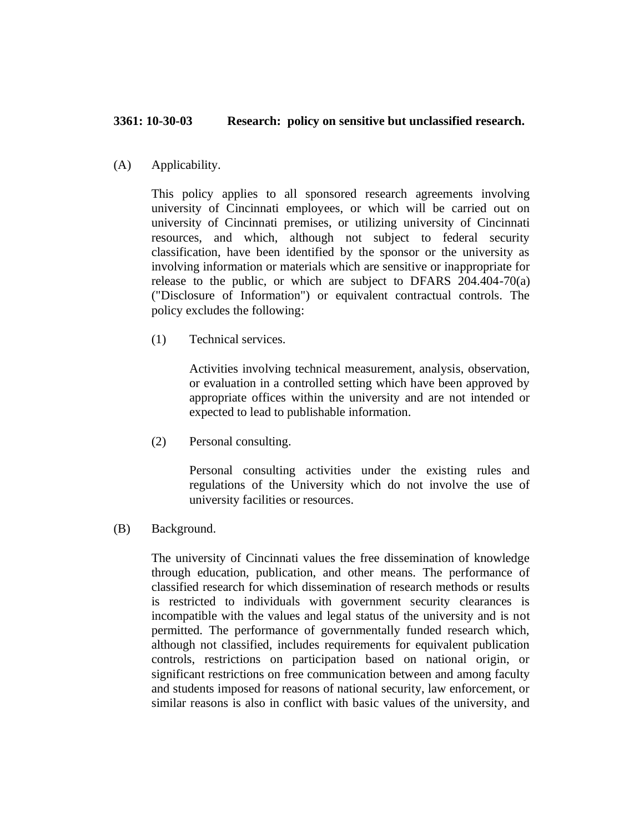## **3361: 10-30-03 Research: policy on sensitive but unclassified research.**

(A) Applicability.

This policy applies to all sponsored research agreements involving university of Cincinnati employees, or which will be carried out on university of Cincinnati premises, or utilizing university of Cincinnati resources, and which, although not subject to federal security classification, have been identified by the sponsor or the university as involving information or materials which are sensitive or inappropriate for release to the public, or which are subject to DFARS 204.404-70(a) ("Disclosure of Information") or equivalent contractual controls. The policy excludes the following:

(1) Technical services.

Activities involving technical measurement, analysis, observation, or evaluation in a controlled setting which have been approved by appropriate offices within the university and are not intended or expected to lead to publishable information.

(2) Personal consulting.

Personal consulting activities under the existing rules and regulations of the University which do not involve the use of university facilities or resources.

(B) Background.

The university of Cincinnati values the free dissemination of knowledge through education, publication, and other means. The performance of classified research for which dissemination of research methods or results is restricted to individuals with government security clearances is incompatible with the values and legal status of the university and is not permitted. The performance of governmentally funded research which, although not classified, includes requirements for equivalent publication controls, restrictions on participation based on national origin, or significant restrictions on free communication between and among faculty and students imposed for reasons of national security, law enforcement, or similar reasons is also in conflict with basic values of the university, and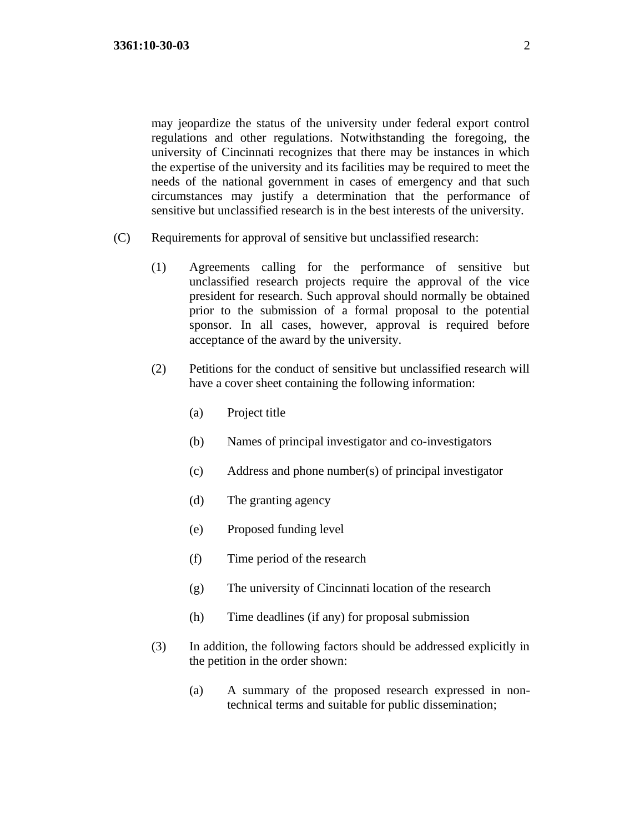may jeopardize the status of the university under federal export control regulations and other regulations. Notwithstanding the foregoing, the university of Cincinnati recognizes that there may be instances in which the expertise of the university and its facilities may be required to meet the needs of the national government in cases of emergency and that such circumstances may justify a determination that the performance of sensitive but unclassified research is in the best interests of the university.

- (C) Requirements for approval of sensitive but unclassified research:
	- (1) Agreements calling for the performance of sensitive but unclassified research projects require the approval of the vice president for research. Such approval should normally be obtained prior to the submission of a formal proposal to the potential sponsor. In all cases, however, approval is required before acceptance of the award by the university.
	- (2) Petitions for the conduct of sensitive but unclassified research will have a cover sheet containing the following information:
		- (a) Project title
		- (b) Names of principal investigator and co-investigators
		- (c) Address and phone number(s) of principal investigator
		- (d) The granting agency
		- (e) Proposed funding level
		- (f) Time period of the research
		- (g) The university of Cincinnati location of the research
		- (h) Time deadlines (if any) for proposal submission
	- (3) In addition, the following factors should be addressed explicitly in the petition in the order shown:
		- (a) A summary of the proposed research expressed in nontechnical terms and suitable for public dissemination;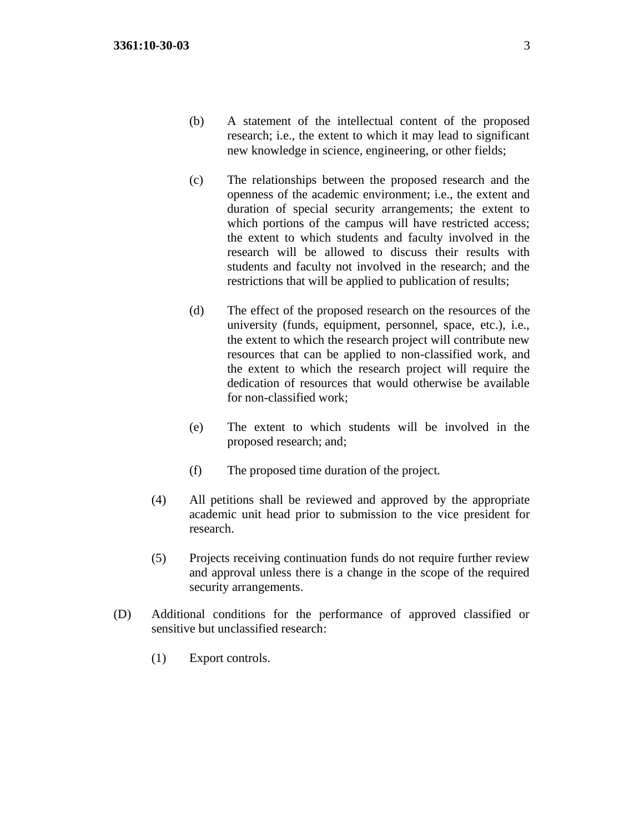- (b) A statement of the intellectual content of the proposed research; i.e., the extent to which it may lead to significant new knowledge in science, engineering, or other fields;
- (c) The relationships between the proposed research and the openness of the academic environment; i.e., the extent and duration of special security arrangements; the extent to which portions of the campus will have restricted access; the extent to which students and faculty involved in the research will be allowed to discuss their results with students and faculty not involved in the research; and the restrictions that will be applied to publication of results;
- (d) The effect of the proposed research on the resources of the university (funds, equipment, personnel, space, etc.), i.e., the extent to which the research project will contribute new resources that can be applied to non-classified work, and the extent to which the research project will require the dedication of resources that would otherwise be available for non-classified work;
- (e) The extent to which students will be involved in the proposed research; and;
- (f) The proposed time duration of the project.
- (4) All petitions shall be reviewed and approved by the appropriate academic unit head prior to submission to the vice president for research.
- (5) Projects receiving continuation funds do not require further review and approval unless there is a change in the scope of the required security arrangements.
- (D) Additional conditions for the performance of approved classified or sensitive but unclassified research:
	- (1) Export controls.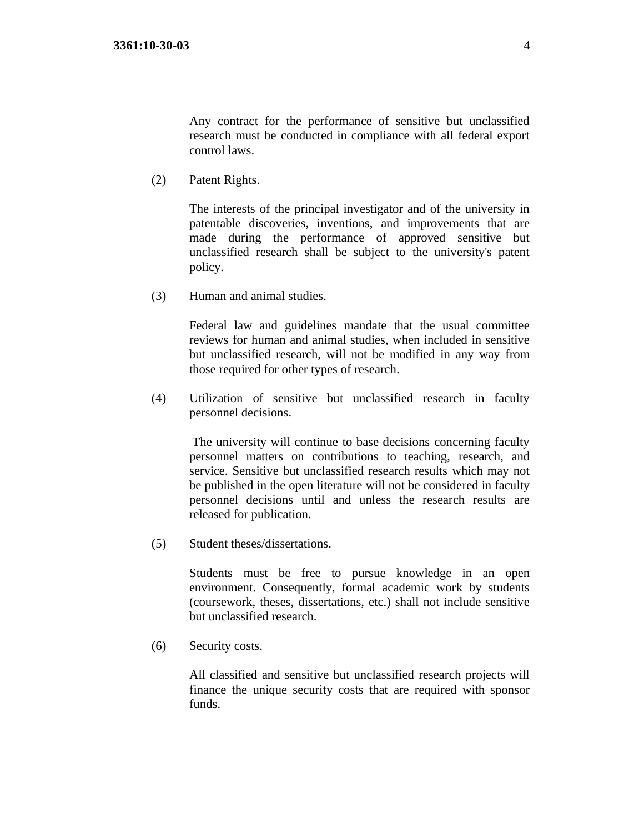Any contract for the performance of sensitive but unclassified research must be conducted in compliance with all federal export control laws.

(2) Patent Rights.

The interests of the principal investigator and of the university in patentable discoveries, inventions, and improvements that are made during the performance of approved sensitive but unclassified research shall be subject to the university's patent policy.

(3) Human and animal studies.

Federal law and guidelines mandate that the usual committee reviews for human and animal studies, when included in sensitive but unclassified research, will not be modified in any way from those required for other types of research.

(4) Utilization of sensitive but unclassified research in faculty personnel decisions.

The university will continue to base decisions concerning faculty personnel matters on contributions to teaching, research, and service. Sensitive but unclassified research results which may not be published in the open literature will not be considered in faculty personnel decisions until and unless the research results are released for publication.

(5) Student theses/dissertations.

Students must be free to pursue knowledge in an open environment. Consequently, formal academic work by students (coursework, theses, dissertations, etc.) shall not include sensitive but unclassified research.

(6) Security costs.

All classified and sensitive but unclassified research projects will finance the unique security costs that are required with sponsor funds.